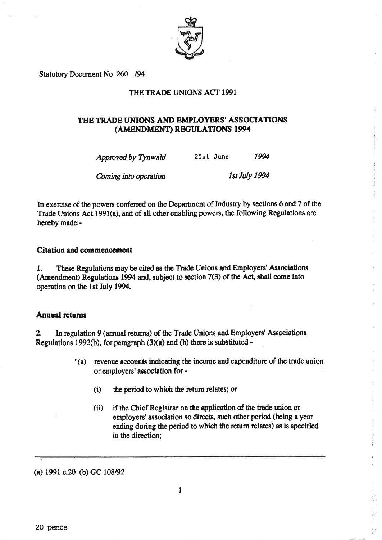

Statutory Document No 260 /94

## THE TRADE UNIONS ACT 1991

# THE TRADE UNIONS AND EMPLOYERS' ASSOCIATIONS (AMENDMENT) REGULATIONS 1994

| Approved by Tynwald | 21st June | 1994 |
|---------------------|-----------|------|
|                     |           |      |

1st July 1994 Coming into operation

In exercise of the powers conferred on the Department of Industry by sections 6 and 7 of the Trade Unions Act 1991(a), and of all other enabling powers, the following Regulations are hereby made:-

#### Citation and commencement

These Regulations may be cited as the Trade Unions and Employers' Associations 1. (Amendment) Regulations 1994 and, subject to section 7(3) of the Act, shall come into operation on the 1st July 1994.

#### **Annual returns**

In regulation 9 (annual returns) of the Trade Unions and Employers' Associations  $2.$ Regulations 1992(b), for paragraph  $(3)(a)$  and (b) there is substituted -

- "(a) revenue accounts indicating the income and expenditure of the trade union or employers' association for -
	- $(i)$ the period to which the return relates; or
	- if the Chief Registrar on the application of the trade union or  $(ii)$ employers' association so directs, such other period (being a year ending during the period to which the return relates) as is specified in the direction:

(a)  $1991$  c.20 (b) GC  $108/92$ 

20 pence